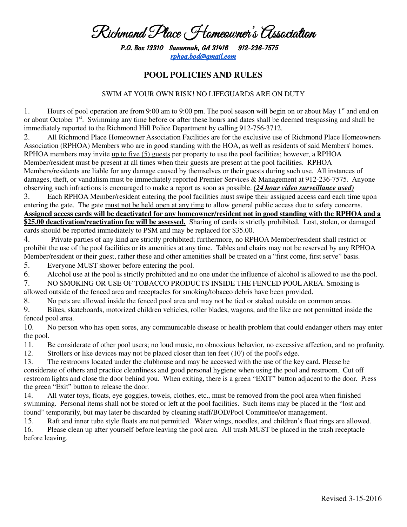## Richmond Place Homeowner's Association

P.O. Box 13310 Savannah, GA 31416 31416 912-236-7575 rphoa.bod@gmail.com

## **POOL POLICIES AND RULES**

## SWIM AT YOUR OWN RISK! NO LIFEGUARDS ARE ON DUTY

1. Hours of pool operation are from 9:00 am to 9:00 pm. The pool season will begin on or about May  $1<sup>st</sup>$  and end on or about October 1<sup>st</sup>. Swimming any time before or after these hours and dates shall be deemed trespassing and shall be immediately reported to the Richmond Hill Police Department by calling 912-756-3712.

2. All Richmond Place Homeowner Association Facilities are for the exclusive use of Richmond Place Homeowners Association (RPHOA) Members who are in good standing with the HOA, as well as residents of said Members' homes. RPHOA members may invite up to five (5) guests per property to use the pool facilities; however, a RPHOA Member/resident must be present at all times when their guests are present at the pool facilities. RPHOA Members/residents are liable for any damage caused by themselves or their guests during such use. All instances of damages, theft, or vandalism must be immediately reported Premier Services & Management at 912-236-7575. Anyone observing such infractions is encouraged to make a report as soon as possible. *(24 hour video surveillance used)* 

3. Each RPHOA Member/resident entering the pool facilities must swipe their assigned access card each time upon entering the gate. The gate must not be held open at any time to allow general public access due to safety concerns. **Assigned access cards will be deactivated for any homeowner/resident not in good standing with the RPHOA and a \$25.00 deactivation/reactivation fee will be assessed.** Sharing of cards is strictly prohibited. Lost, stolen, or damaged cards should be reported immediately to PSM and may be replaced for \$35.00.

4. Private parties of any kind are strictly prohibited; furthermore, no RPHOA Member/resident shall restrict or prohibit the use of the pool facilities or its amenities at any time. Tables and chairs may not be reserved by any RPHOA Member/resident or their guest, rather these and other amenities shall be treated on a "first come, first serve" basis.

5. Everyone MUST shower before entering the pool.

6. Alcohol use at the pool is strictly prohibited and no one under the influence of alcohol is allowed to use the pool.

7. NO SMOKING OR USE OF TOBACCO PRODUCTS INSIDE THE FENCED POOL AREA. Smoking is allowed outside of the fenced area and receptacles for smoking/tobacco debris have been provided.

8. No pets are allowed inside the fenced pool area and may not be tied or staked outside on common areas.

9. Bikes, skateboards, motorized children vehicles, roller blades, wagons, and the like are not permitted inside the fenced pool area.

10. No person who has open sores, any communicable disease or health problem that could endanger others may enter the pool.

11. Be considerate of other pool users; no loud music, no obnoxious behavior, no excessive affection, and no profanity.

12. Strollers or like devices may not be placed closer than ten feet (10') of the pool's edge.

13. The restrooms located under the clubhouse and may be accessed with the use of the key card. Please be considerate of others and practice cleanliness and good personal hygiene when using the pool and restroom. Cut off restroom lights and close the door behind you. When exiting, there is a green "EXIT" button adjacent to the door. Press the green "Exit" button to release the door.

14. All water toys, floats, eye goggles, towels, clothes, etc., must be removed from the pool area when finished swimming. Personal items shall not be stored or left at the pool facilities. Such items may be placed in the "lost and found" temporarily, but may later be discarded by cleaning staff/BOD/Pool Committee/or management.

15. Raft and inner tube style floats are not permitted. Water wings, noodles, and children's float rings are allowed.

16. Please clean up after yourself before leaving the pool area. All trash MUST be placed in the trash receptacle before leaving.